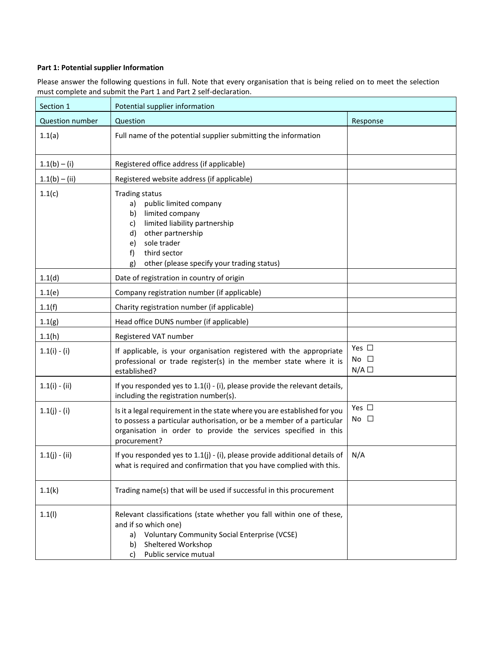# **Part 1: Potential supplier Information**

Please answer the following questions in full. Note that every organisation that is being relied on to meet the selection must complete and submit the Part 1 and Part 2 self-declaration.

| Section 1              | Potential supplier information                                                                                                                                                                                                                  |                                      |  |
|------------------------|-------------------------------------------------------------------------------------------------------------------------------------------------------------------------------------------------------------------------------------------------|--------------------------------------|--|
| <b>Question number</b> | Question                                                                                                                                                                                                                                        | Response                             |  |
| 1.1(a)                 | Full name of the potential supplier submitting the information                                                                                                                                                                                  |                                      |  |
| $1.1(b) - (i)$         | Registered office address (if applicable)                                                                                                                                                                                                       |                                      |  |
| $1.1(b) - (ii)$        | Registered website address (if applicable)                                                                                                                                                                                                      |                                      |  |
| 1.1(c)                 | <b>Trading status</b><br>public limited company<br>a)<br>limited company<br>b)<br>limited liability partnership<br>c)<br>other partnership<br>d)<br>sole trader<br>e)<br>third sector<br>f)<br>other (please specify your trading status)<br>g) |                                      |  |
| 1.1(d)                 | Date of registration in country of origin                                                                                                                                                                                                       |                                      |  |
| 1.1(e)                 | Company registration number (if applicable)                                                                                                                                                                                                     |                                      |  |
| 1.1(f)                 | Charity registration number (if applicable)                                                                                                                                                                                                     |                                      |  |
| 1.1(g)                 | Head office DUNS number (if applicable)                                                                                                                                                                                                         |                                      |  |
| 1.1(h)                 | Registered VAT number                                                                                                                                                                                                                           |                                      |  |
| $1.1(i) - (i)$         | If applicable, is your organisation registered with the appropriate<br>professional or trade register(s) in the member state where it is<br>established?                                                                                        | Yes $\square$<br>No $\square$<br>N/A |  |
| $1.1(i) - (ii)$        | If you responded yes to $1.1(i)$ - (i), please provide the relevant details,<br>including the registration number(s).                                                                                                                           |                                      |  |
| $1.1(j) - (i)$         | Is it a legal requirement in the state where you are established for you<br>to possess a particular authorisation, or be a member of a particular<br>organisation in order to provide the services specified in this<br>procurement?            | Yes $\square$<br>No $\square$        |  |
| $1.1(j) - (ii)$        | If you responded yes to 1.1(j) - (i), please provide additional details of<br>what is required and confirmation that you have complied with this.                                                                                               | N/A                                  |  |
| 1.1(k)                 | Trading name(s) that will be used if successful in this procurement                                                                                                                                                                             |                                      |  |
| 1.1(1)                 | Relevant classifications (state whether you fall within one of these,<br>and if so which one)<br><b>Voluntary Community Social Enterprise (VCSE)</b><br>a)<br>Sheltered Workshop<br>b)<br>Public service mutual<br>C)                           |                                      |  |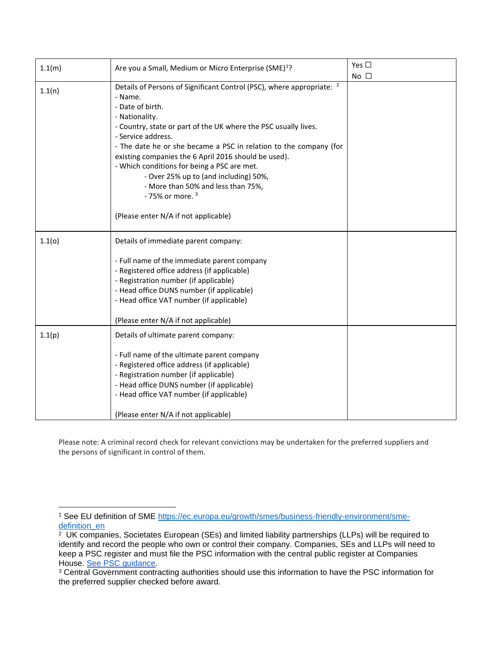| 1.1(m) | Are you a Small, Medium or Micro Enterprise (SME) <sup>1</sup> ?                                                                                                                                                                                                                                                                                                                                                                                                                                            | Yes $\square$ |
|--------|-------------------------------------------------------------------------------------------------------------------------------------------------------------------------------------------------------------------------------------------------------------------------------------------------------------------------------------------------------------------------------------------------------------------------------------------------------------------------------------------------------------|---------------|
|        |                                                                                                                                                                                                                                                                                                                                                                                                                                                                                                             | $No$ $\Box$   |
| 1.1(n) | Details of Persons of Significant Control (PSC), where appropriate: <sup>2</sup><br>- Name.<br>- Date of birth.<br>- Nationality.<br>- Country, state or part of the UK where the PSC usually lives.<br>- Service address.<br>- The date he or she became a PSC in relation to the company (for<br>existing companies the 6 April 2016 should be used).<br>- Which conditions for being a PSC are met.<br>- Over 25% up to (and including) 50%,<br>- More than 50% and less than 75%,<br>- 75% or more. $3$ |               |
|        | (Please enter N/A if not applicable)                                                                                                                                                                                                                                                                                                                                                                                                                                                                        |               |
| 1.1(0) | Details of immediate parent company:                                                                                                                                                                                                                                                                                                                                                                                                                                                                        |               |
|        | - Full name of the immediate parent company<br>- Registered office address (if applicable)<br>- Registration number (if applicable)<br>- Head office DUNS number (if applicable)<br>- Head office VAT number (if applicable)                                                                                                                                                                                                                                                                                |               |
|        | (Please enter N/A if not applicable)                                                                                                                                                                                                                                                                                                                                                                                                                                                                        |               |
| 1.1(p) | Details of ultimate parent company:<br>- Full name of the ultimate parent company<br>- Registered office address (if applicable)<br>- Registration number (if applicable)<br>- Head office DUNS number (if applicable)<br>- Head office VAT number (if applicable)                                                                                                                                                                                                                                          |               |
|        | (Please enter N/A if not applicable)                                                                                                                                                                                                                                                                                                                                                                                                                                                                        |               |

Please note: A criminal record check for relevant convictions may be undertaken for the preferred suppliers and the persons of significant in control of them.

<sup>1</sup> See EU definition of SME [https://ec.europa.eu/growth/smes/business-friendly-environment/sme](https://ec.europa.eu/growth/smes/business-friendly-environment/sme-definition_en)[definition\\_en](https://ec.europa.eu/growth/smes/business-friendly-environment/sme-definition_en)

<sup>2</sup> UK companies, Societates European (SEs) and limited liability partnerships (LLPs) will be required to identify and record the people who own or control their company. Companies, SEs and LLPs will need to keep a PSC register and must file the PSC information with the central public register at Companies House. [See PSC guidance.](https://www.gov.uk/government/publications/guidance-to-the-people-with-significant-control-requirements-for-companies-and-limited-liability-partnerships)

<sup>&</sup>lt;sup>3</sup> Central Government contracting authorities should use this information to have the PSC information for the preferred supplier checked before award.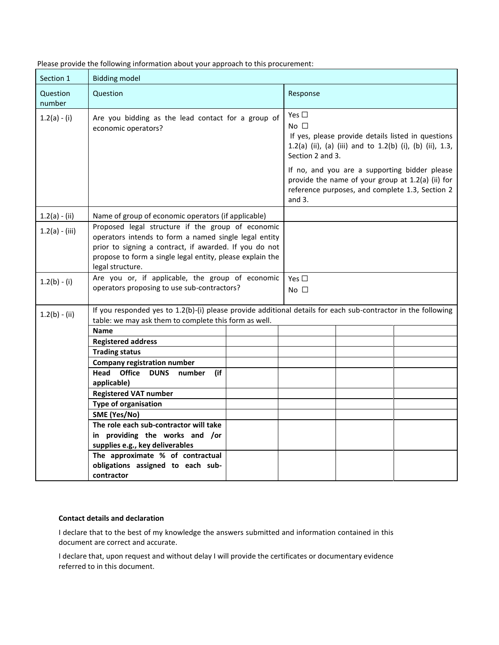| Section 1          | <b>Bidding model</b>                                                                                                                                                                                                                                  |  |                                                                                                                                                                   |  |
|--------------------|-------------------------------------------------------------------------------------------------------------------------------------------------------------------------------------------------------------------------------------------------------|--|-------------------------------------------------------------------------------------------------------------------------------------------------------------------|--|
| Question<br>number | Question                                                                                                                                                                                                                                              |  | Response                                                                                                                                                          |  |
| $1.2(a) - (i)$     | Are you bidding as the lead contact for a group of<br>economic operators?                                                                                                                                                                             |  | Yes $\Box$<br>No $\square$<br>If yes, please provide details listed in questions<br>1.2(a) (ii), (a) (iii) and to 1.2(b) (i), (b) (ii), 1.3,<br>Section 2 and 3.  |  |
|                    |                                                                                                                                                                                                                                                       |  | If no, and you are a supporting bidder please<br>provide the name of your group at 1.2(a) (ii) for<br>reference purposes, and complete 1.3, Section 2<br>and $3.$ |  |
| $1.2(a) - (ii)$    | Name of group of economic operators (if applicable)                                                                                                                                                                                                   |  |                                                                                                                                                                   |  |
| $1.2(a) - (iii)$   | Proposed legal structure if the group of economic<br>operators intends to form a named single legal entity<br>prior to signing a contract, if awarded. If you do not<br>propose to form a single legal entity, please explain the<br>legal structure. |  |                                                                                                                                                                   |  |
| $1.2(b) - (i)$     | Are you or, if applicable, the group of economic<br>operators proposing to use sub-contractors?                                                                                                                                                       |  | Yes $\square$<br>No <sub>1</sub>                                                                                                                                  |  |
| $1.2(b) - (ii)$    | If you responded yes to 1.2(b)-(i) please provide additional details for each sub-contractor in the following<br>table: we may ask them to complete this form as well.                                                                                |  |                                                                                                                                                                   |  |
|                    | <b>Name</b>                                                                                                                                                                                                                                           |  |                                                                                                                                                                   |  |
|                    | <b>Registered address</b>                                                                                                                                                                                                                             |  |                                                                                                                                                                   |  |
|                    | <b>Trading status</b>                                                                                                                                                                                                                                 |  |                                                                                                                                                                   |  |
|                    | <b>Company registration number</b>                                                                                                                                                                                                                    |  |                                                                                                                                                                   |  |
|                    | <b>Office</b><br>Head<br><b>DUNS</b><br>number<br>(if<br>applicable)                                                                                                                                                                                  |  |                                                                                                                                                                   |  |
|                    | <b>Registered VAT number</b>                                                                                                                                                                                                                          |  |                                                                                                                                                                   |  |
|                    | <b>Type of organisation</b>                                                                                                                                                                                                                           |  |                                                                                                                                                                   |  |
|                    | SME (Yes/No)                                                                                                                                                                                                                                          |  |                                                                                                                                                                   |  |
|                    | The role each sub-contractor will take                                                                                                                                                                                                                |  |                                                                                                                                                                   |  |
|                    | in providing the works and /or                                                                                                                                                                                                                        |  |                                                                                                                                                                   |  |
|                    | supplies e.g., key deliverables                                                                                                                                                                                                                       |  |                                                                                                                                                                   |  |
|                    | The approximate % of contractual<br>obligations assigned to each sub-                                                                                                                                                                                 |  |                                                                                                                                                                   |  |
|                    | contractor                                                                                                                                                                                                                                            |  |                                                                                                                                                                   |  |
|                    |                                                                                                                                                                                                                                                       |  |                                                                                                                                                                   |  |

Please provide the following information about your approach to this procurement:

#### **Contact details and declaration**

I declare that to the best of my knowledge the answers submitted and information contained in this document are correct and accurate.

I declare that, upon request and without delay I will provide the certificates or documentary evidence referred to in this document.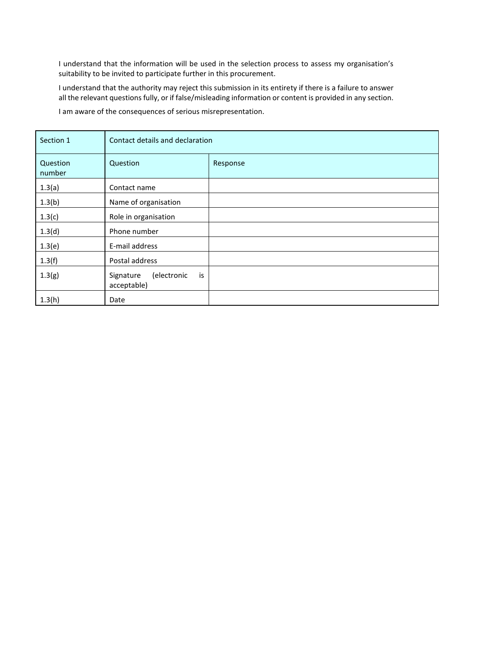I understand that the information will be used in the selection process to assess my organisation's suitability to be invited to participate further in this procurement.

I understand that the authority may reject this submission in its entirety if there is a failure to answer all the relevant questions fully, or if false/misleading information or content is provided in any section.

I am aware of the consequences of serious misrepresentation.

| Section 1          | Contact details and declaration               |          |  |
|--------------------|-----------------------------------------------|----------|--|
| Question<br>number | Question                                      | Response |  |
| 1.3(a)             | Contact name                                  |          |  |
| 1.3(b)             | Name of organisation                          |          |  |
| 1.3(c)             | Role in organisation                          |          |  |
| 1.3(d)             | Phone number                                  |          |  |
| 1.3(e)             | E-mail address                                |          |  |
| 1.3(f)             | Postal address                                |          |  |
| 1.3(g)             | (electronic<br>is<br>Signature<br>acceptable) |          |  |
| 1.3(h)             | Date                                          |          |  |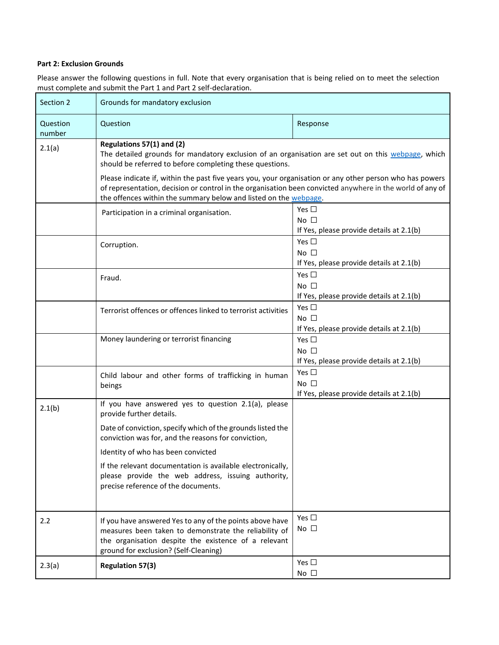### **Part 2: Exclusion Grounds**

Please answer the following questions in full. Note that every organisation that is being relied on to meet the selection must complete and submit the Part 1 and Part 2 self-declaration.

| Section 2          | Grounds for mandatory exclusion                                                                                                                                                                                    |                                                                                                                                                                                                                       |  |  |
|--------------------|--------------------------------------------------------------------------------------------------------------------------------------------------------------------------------------------------------------------|-----------------------------------------------------------------------------------------------------------------------------------------------------------------------------------------------------------------------|--|--|
| Question<br>number | Question                                                                                                                                                                                                           | Response                                                                                                                                                                                                              |  |  |
| 2.1(a)             | Regulations 57(1) and (2)<br>The detailed grounds for mandatory exclusion of an organisation are set out on this webpage, which<br>should be referred to before completing these questions.                        |                                                                                                                                                                                                                       |  |  |
|                    | the offences within the summary below and listed on the webpage.                                                                                                                                                   | Please indicate if, within the past five years you, your organisation or any other person who has powers<br>of representation, decision or control in the organisation been convicted anywhere in the world of any of |  |  |
|                    | Participation in a criminal organisation.                                                                                                                                                                          | Yes $\square$<br>$No$ $\Box$<br>If Yes, please provide details at 2.1(b)                                                                                                                                              |  |  |
|                    | Corruption.                                                                                                                                                                                                        | Yes $\square$<br>No $\square$<br>If Yes, please provide details at 2.1(b)                                                                                                                                             |  |  |
|                    | Fraud.                                                                                                                                                                                                             | Yes $\square$<br>No $\square$<br>If Yes, please provide details at 2.1(b)                                                                                                                                             |  |  |
|                    | Terrorist offences or offences linked to terrorist activities                                                                                                                                                      | Yes $\square$<br>No $\square$<br>If Yes, please provide details at 2.1(b)                                                                                                                                             |  |  |
|                    | Money laundering or terrorist financing                                                                                                                                                                            | Yes $\square$<br>No $\square$<br>If Yes, please provide details at 2.1(b)                                                                                                                                             |  |  |
|                    | Child labour and other forms of trafficking in human<br>beings                                                                                                                                                     | Yes $\square$<br>No $\square$<br>If Yes, please provide details at 2.1(b)                                                                                                                                             |  |  |
| 2.1(b)             | If you have answered yes to question 2.1(a), please<br>provide further details.                                                                                                                                    |                                                                                                                                                                                                                       |  |  |
|                    | Date of conviction, specify which of the grounds listed the<br>conviction was for, and the reasons for conviction,                                                                                                 |                                                                                                                                                                                                                       |  |  |
|                    | Identity of who has been convicted<br>If the relevant documentation is available electronically,<br>please provide the web address, issuing authority,<br>precise reference of the documents.                      |                                                                                                                                                                                                                       |  |  |
| 2.2                | If you have answered Yes to any of the points above have<br>measures been taken to demonstrate the reliability of<br>the organisation despite the existence of a relevant<br>ground for exclusion? (Self-Cleaning) | Yes $\square$<br>No $\square$                                                                                                                                                                                         |  |  |
| 2.3(a)             | <b>Regulation 57(3)</b>                                                                                                                                                                                            | Yes $\square$<br>No $\square$                                                                                                                                                                                         |  |  |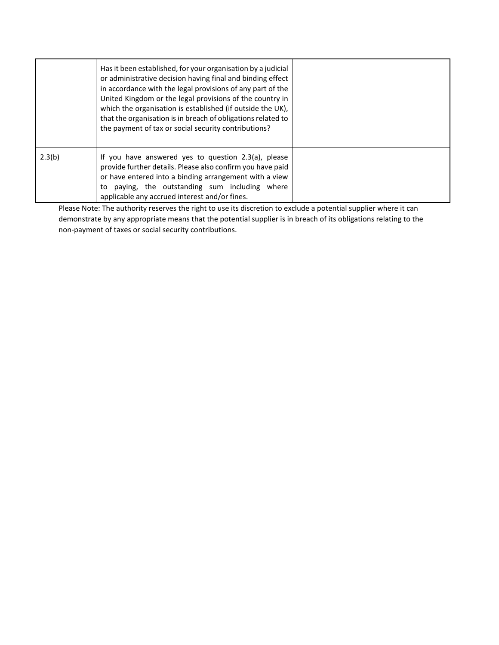|        | Has it been established, for your organisation by a judicial<br>or administrative decision having final and binding effect<br>in accordance with the legal provisions of any part of the<br>United Kingdom or the legal provisions of the country in<br>which the organisation is established (if outside the UK),<br>that the organisation is in breach of obligations related to<br>the payment of tax or social security contributions? |  |
|--------|--------------------------------------------------------------------------------------------------------------------------------------------------------------------------------------------------------------------------------------------------------------------------------------------------------------------------------------------------------------------------------------------------------------------------------------------|--|
| 2.3(b) | If you have answered yes to question 2.3(a), please<br>provide further details. Please also confirm you have paid<br>or have entered into a binding arrangement with a view<br>paying, the outstanding sum including where<br>to<br>applicable any accrued interest and/or fines.                                                                                                                                                          |  |

Please Note: The authority reserves the right to use its discretion to exclude a potential supplier where it can demonstrate by any appropriate means that the potential supplier is in breach of its obligations relating to the non-payment of taxes or social security contributions.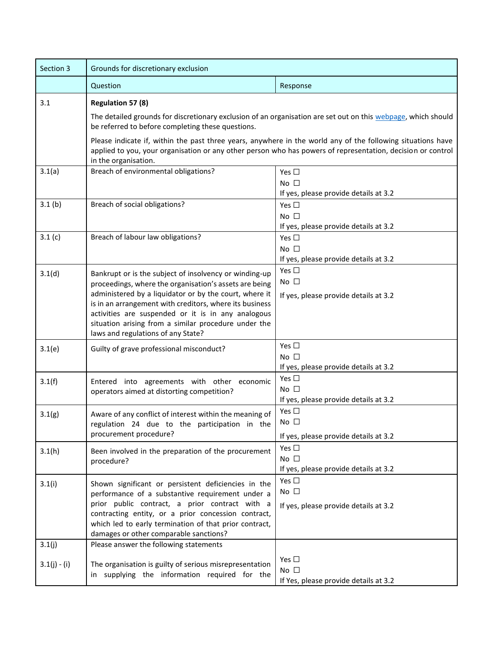| Section 3                | Grounds for discretionary exclusion                                                                                                                                                                                                                                                                                                                                                       |                                                                                                                 |  |
|--------------------------|-------------------------------------------------------------------------------------------------------------------------------------------------------------------------------------------------------------------------------------------------------------------------------------------------------------------------------------------------------------------------------------------|-----------------------------------------------------------------------------------------------------------------|--|
|                          | Question                                                                                                                                                                                                                                                                                                                                                                                  | Response                                                                                                        |  |
| 3.1                      | <b>Regulation 57 (8)</b><br>The detailed grounds for discretionary exclusion of an organisation are set out on this webpage, which should<br>be referred to before completing these questions.<br>Please indicate if, within the past three years, anywhere in the world any of the following situations have                                                                             |                                                                                                                 |  |
| 3.1(a)                   | applied to you, your organisation or any other person who has powers of representation, decision or control<br>in the organisation.<br>Breach of environmental obligations?<br>Yes $\square$<br>No $\square$                                                                                                                                                                              |                                                                                                                 |  |
| 3.1(b)                   | Breach of social obligations?                                                                                                                                                                                                                                                                                                                                                             | If yes, please provide details at 3.2<br>Yes $\square$<br>No $\square$<br>If yes, please provide details at 3.2 |  |
| 3.1(c)                   | Breach of labour law obligations?                                                                                                                                                                                                                                                                                                                                                         | Yes $\square$<br>No $\square$<br>If yes, please provide details at 3.2                                          |  |
| 3.1(d)                   | Bankrupt or is the subject of insolvency or winding-up<br>proceedings, where the organisation's assets are being<br>administered by a liquidator or by the court, where it<br>is in an arrangement with creditors, where its business<br>activities are suspended or it is in any analogous<br>situation arising from a similar procedure under the<br>laws and regulations of any State? | Yes $\square$<br>No $\square$<br>If yes, please provide details at 3.2                                          |  |
| 3.1(e)                   | Guilty of grave professional misconduct?                                                                                                                                                                                                                                                                                                                                                  | Yes $\square$<br>No $\square$<br>If yes, please provide details at 3.2                                          |  |
| 3.1(f)                   | Entered into agreements with other economic<br>operators aimed at distorting competition?                                                                                                                                                                                                                                                                                                 | Yes $\square$<br>No $\square$<br>If yes, please provide details at 3.2                                          |  |
| 3.1(g)                   | Aware of any conflict of interest within the meaning of<br>regulation 24 due to the participation in the<br>procurement procedure?                                                                                                                                                                                                                                                        | Yes $\square$<br>$No$ $\Box$<br>If yes, please provide details at 3.2                                           |  |
| 3.1(h)                   | Been involved in the preparation of the procurement<br>procedure?                                                                                                                                                                                                                                                                                                                         | Yes $\square$<br>No $\square$<br>If yes, please provide details at 3.2                                          |  |
| 3.1(i)                   | Shown significant or persistent deficiencies in the<br>performance of a substantive requirement under a<br>prior public contract, a prior contract with a<br>contracting entity, or a prior concession contract,<br>which led to early termination of that prior contract,<br>damages or other comparable sanctions?                                                                      | Yes $\square$<br>No $\square$<br>If yes, please provide details at 3.2                                          |  |
| 3.1(j)<br>$3.1(j) - (i)$ | Please answer the following statements<br>The organisation is guilty of serious misrepresentation<br>in supplying the information required for the                                                                                                                                                                                                                                        | Yes $\Box$<br>No $\square$<br>If Yes, please provide details at 3.2                                             |  |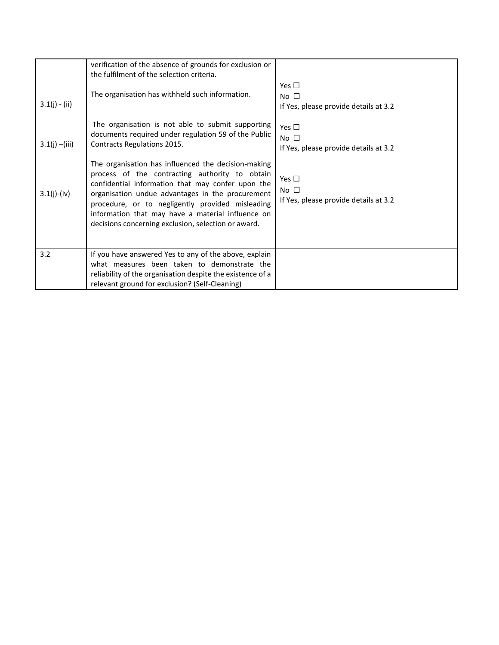| $3.1(j) - (ii)$  | verification of the absence of grounds for exclusion or<br>the fulfilment of the selection criteria.<br>The organisation has withheld such information.                                                                                                                                                                                                                        | Yes $\square$<br>No $\square$<br>If Yes, please provide details at 3.2 |
|------------------|--------------------------------------------------------------------------------------------------------------------------------------------------------------------------------------------------------------------------------------------------------------------------------------------------------------------------------------------------------------------------------|------------------------------------------------------------------------|
| $3.1(j) - (iii)$ | The organisation is not able to submit supporting<br>documents required under regulation 59 of the Public<br>Contracts Regulations 2015.                                                                                                                                                                                                                                       | Yes $\Box$<br>No $\square$<br>If Yes, please provide details at 3.2    |
| $3.1(j)-(iv)$    | The organisation has influenced the decision-making<br>process of the contracting authority to obtain<br>confidential information that may confer upon the<br>organisation undue advantages in the procurement<br>procedure, or to negligently provided misleading<br>information that may have a material influence on<br>decisions concerning exclusion, selection or award. | Yes $\Box$<br>No $\square$<br>If Yes, please provide details at 3.2    |
| 3.2              | If you have answered Yes to any of the above, explain<br>what measures been taken to demonstrate the<br>reliability of the organisation despite the existence of a<br>relevant ground for exclusion? (Self-Cleaning)                                                                                                                                                           |                                                                        |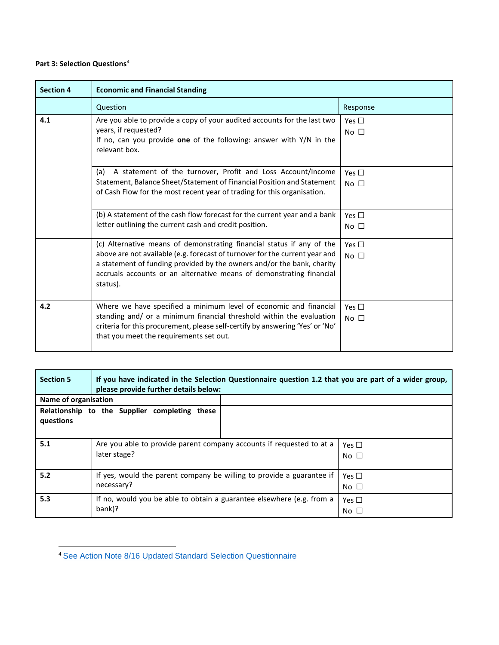# **Part 3: Selection Questions**<sup>4</sup>

| <b>Section 4</b> | <b>Economic and Financial Standing</b>                                                                                                                                                                                                                                                                             |                                  |  |
|------------------|--------------------------------------------------------------------------------------------------------------------------------------------------------------------------------------------------------------------------------------------------------------------------------------------------------------------|----------------------------------|--|
|                  | Question                                                                                                                                                                                                                                                                                                           | Response                         |  |
| 4.1              | Are you able to provide a copy of your audited accounts for the last two<br>years, if requested?<br>If no, can you provide one of the following: answer with $Y/N$ in the<br>relevant box.                                                                                                                         | Yes $\square$<br>No $\square$    |  |
|                  | A statement of the turnover, Profit and Loss Account/Income<br>(a)<br>Statement, Balance Sheet/Statement of Financial Position and Statement<br>of Cash Flow for the most recent year of trading for this organisation.                                                                                            | Yes $\square$<br>No $\Box$       |  |
|                  | (b) A statement of the cash flow forecast for the current year and a bank<br>letter outlining the current cash and credit position.                                                                                                                                                                                | Yes $\square$<br>No <sub>1</sub> |  |
|                  | (c) Alternative means of demonstrating financial status if any of the<br>above are not available (e.g. forecast of turnover for the current year and<br>a statement of funding provided by the owners and/or the bank, charity<br>accruals accounts or an alternative means of demonstrating financial<br>status). | Yes $\Box$<br>$No$ $\Box$        |  |
| 4.2              | Where we have specified a minimum level of economic and financial<br>standing and/ or a minimum financial threshold within the evaluation<br>criteria for this procurement, please self-certify by answering 'Yes' or 'No'<br>that you meet the requirements set out.                                              | Yes $\square$<br>No $\square$    |  |

| <b>Section 5</b>                                                                       | If you have indicated in the Selection Questionnaire question 1.2 that you are part of a wider group,<br>please provide further details below: |                               |  |  |
|----------------------------------------------------------------------------------------|------------------------------------------------------------------------------------------------------------------------------------------------|-------------------------------|--|--|
| Name of organisation                                                                   |                                                                                                                                                |                               |  |  |
| questions                                                                              | Relationship to the Supplier completing these                                                                                                  |                               |  |  |
| 5.1                                                                                    | Are you able to provide parent company accounts if requested to at a<br>later stage?                                                           | Yes $\Box$<br>No $\square$    |  |  |
| 5.2                                                                                    | If yes, would the parent company be willing to provide a guarantee if<br>necessary?                                                            | Yes $\Box$<br>No $\Box$       |  |  |
| 5.3<br>If no, would you be able to obtain a guarantee elsewhere (e.g. from a<br>bank)? |                                                                                                                                                | Yes $\Box$<br>No <sub>1</sub> |  |  |

<sup>4</sup> See Action Note 8/16 Updated [Standard Selection Questionnaire](https://www.gov.uk/government/collections/procurement-policy-notes)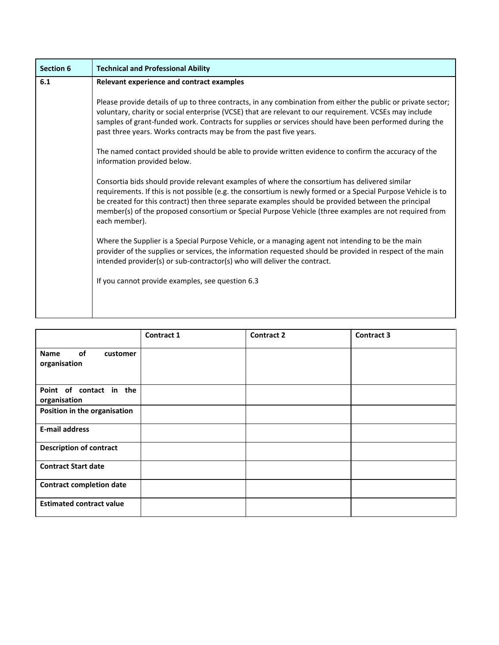| <b>Section 6</b> | <b>Technical and Professional Ability</b>                                                                                                                                                                                                                                                                                                                                                                                                       |
|------------------|-------------------------------------------------------------------------------------------------------------------------------------------------------------------------------------------------------------------------------------------------------------------------------------------------------------------------------------------------------------------------------------------------------------------------------------------------|
| 6.1              | Relevant experience and contract examples                                                                                                                                                                                                                                                                                                                                                                                                       |
|                  | Please provide details of up to three contracts, in any combination from either the public or private sector;<br>voluntary, charity or social enterprise (VCSE) that are relevant to our requirement. VCSEs may include<br>samples of grant-funded work. Contracts for supplies or services should have been performed during the<br>past three years. Works contracts may be from the past five years.                                         |
|                  | The named contact provided should be able to provide written evidence to confirm the accuracy of the<br>information provided below.                                                                                                                                                                                                                                                                                                             |
|                  | Consortia bids should provide relevant examples of where the consortium has delivered similar<br>requirements. If this is not possible (e.g. the consortium is newly formed or a Special Purpose Vehicle is to<br>be created for this contract) then three separate examples should be provided between the principal<br>member(s) of the proposed consortium or Special Purpose Vehicle (three examples are not required from<br>each member). |
|                  | Where the Supplier is a Special Purpose Vehicle, or a managing agent not intending to be the main<br>provider of the supplies or services, the information requested should be provided in respect of the main<br>intended provider(s) or sub-contractor(s) who will deliver the contract.                                                                                                                                                      |
|                  | If you cannot provide examples, see question 6.3                                                                                                                                                                                                                                                                                                                                                                                                |
|                  |                                                                                                                                                                                                                                                                                                                                                                                                                                                 |

|                                               | <b>Contract 1</b> | <b>Contract 2</b> | <b>Contract 3</b> |
|-----------------------------------------------|-------------------|-------------------|-------------------|
| of<br><b>Name</b><br>customer<br>organisation |                   |                   |                   |
| Point of contact in the<br>organisation       |                   |                   |                   |
| Position in the organisation                  |                   |                   |                   |
| <b>E-mail address</b>                         |                   |                   |                   |
| <b>Description of contract</b>                |                   |                   |                   |
| <b>Contract Start date</b>                    |                   |                   |                   |
| <b>Contract completion date</b>               |                   |                   |                   |
| <b>Estimated contract value</b>               |                   |                   |                   |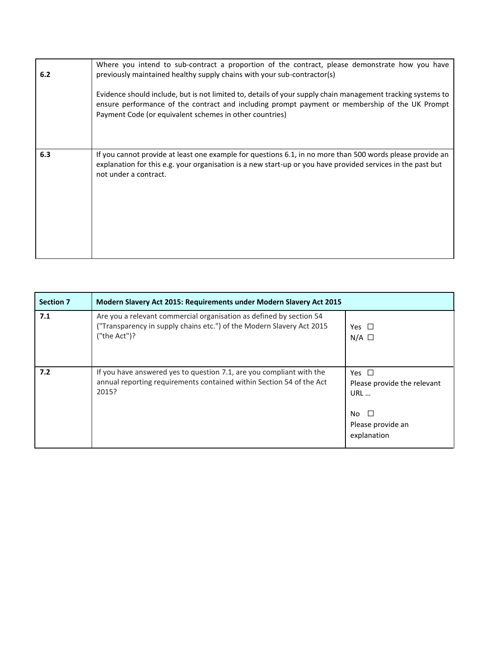| 6.2 | Where you intend to sub-contract a proportion of the contract, please demonstrate how you have<br>previously maintained healthy supply chains with your sub-contractor(s)<br>Evidence should include, but is not limited to, details of your supply chain management tracking systems to<br>ensure performance of the contract and including prompt payment or membership of the UK Prompt<br>Payment Code (or equivalent schemes in other countries) |
|-----|-------------------------------------------------------------------------------------------------------------------------------------------------------------------------------------------------------------------------------------------------------------------------------------------------------------------------------------------------------------------------------------------------------------------------------------------------------|
| 6.3 | If you cannot provide at least one example for questions 6.1, in no more than 500 words please provide an<br>explanation for this e.g. your organisation is a new start-up or you have provided services in the past but<br>not under a contract.                                                                                                                                                                                                     |

| <b>Section 7</b> | Modern Slavery Act 2015: Requirements under Modern Slavery Act 2015                                                                                             |                                                                                                       |  |
|------------------|-----------------------------------------------------------------------------------------------------------------------------------------------------------------|-------------------------------------------------------------------------------------------------------|--|
| 7.1              | Are you a relevant commercial organisation as defined by section 54<br>("Transparency in supply chains etc.") of the Modern Slavery Act 2015<br>("the $Act$ ")? | Yes $\Box$<br>$N/A$ $\square$                                                                         |  |
| 7.2              | If you have answered yes to question 7.1, are you compliant with the<br>annual reporting requirements contained within Section 54 of the Act<br>2015?           | Yes $\Box$<br>Please provide the relevant<br>URL<br>$\Box$<br>No.<br>Please provide an<br>explanation |  |